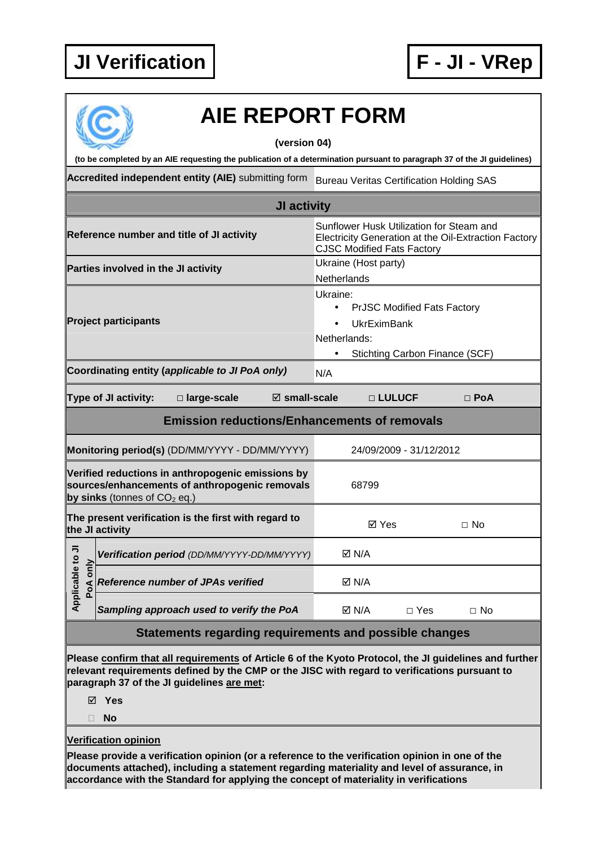

# **AIE REPORT FORM**

### **(version 04)**

**(to be completed by an AIE requesting the publication of a determination pursuant to paragraph 37 of the JI guidelines)** 

**Accredited independent entity (AIE)** submitting form Bureau Veritas Certification Holding SAS

| JI activity                                                                                                                           |                                             |                                                     |                                                                                                                                       |                                                                                                                                                  |                 |            |           |  |
|---------------------------------------------------------------------------------------------------------------------------------------|---------------------------------------------|-----------------------------------------------------|---------------------------------------------------------------------------------------------------------------------------------------|--------------------------------------------------------------------------------------------------------------------------------------------------|-----------------|------------|-----------|--|
| Reference number and title of JI activity                                                                                             |                                             |                                                     | Sunflower Husk Utilization for Steam and<br>Electricity Generation at the Oil-Extraction Factory<br><b>CJSC Modified Fats Factory</b> |                                                                                                                                                  |                 |            |           |  |
| Parties involved in the JI activity                                                                                                   |                                             |                                                     | Ukraine (Host party)<br>Netherlands                                                                                                   |                                                                                                                                                  |                 |            |           |  |
| <b>Project participants</b>                                                                                                           |                                             |                                                     |                                                                                                                                       | Ukraine:<br><b>PrJSC Modified Fats Factory</b><br>$\bullet$<br><b>UkrEximBank</b><br>Netherlands:<br>Stichting Carbon Finance (SCF)<br>$\bullet$ |                 |            |           |  |
| Coordinating entity (applicable to JI PoA only)                                                                                       |                                             |                                                     |                                                                                                                                       | N/A                                                                                                                                              |                 |            |           |  |
| Type of JI activity:<br>$\boxtimes$ small-scale<br>□ large-scale                                                                      |                                             |                                                     |                                                                                                                                       |                                                                                                                                                  | □ LULUCF        | $\Box$ PoA |           |  |
|                                                                                                                                       |                                             | <b>Emission reductions/Enhancements of removals</b> |                                                                                                                                       |                                                                                                                                                  |                 |            |           |  |
| Monitoring period(s) (DD/MM/YYYY - DD/MM/YYYY)                                                                                        |                                             |                                                     | 24/09/2009 - 31/12/2012                                                                                                               |                                                                                                                                                  |                 |            |           |  |
| Verified reductions in anthropogenic emissions by<br>sources/enhancements of anthropogenic removals<br>by sinks (tonnes of $CO2$ eq.) |                                             |                                                     | 68799                                                                                                                                 |                                                                                                                                                  |                 |            |           |  |
| The present verification is the first with regard to<br>the JI activity                                                               |                                             |                                                     | <b>ØYes</b><br>$\Box$ No                                                                                                              |                                                                                                                                                  |                 |            |           |  |
|                                                                                                                                       | Verification period (DD/MM/YYYY-DD/MM/YYYY) |                                                     |                                                                                                                                       |                                                                                                                                                  | <b>⊠ N/A</b>    |            |           |  |
| Applicable to JI<br>only<br>PoA                                                                                                       | <b>Reference number of JPAs verified</b>    |                                                     |                                                                                                                                       |                                                                                                                                                  | $\boxtimes$ N/A |            |           |  |
|                                                                                                                                       | Sampling approach used to verify the PoA    |                                                     |                                                                                                                                       |                                                                                                                                                  | $\boxtimes$ N/A | $\Box$ Yes | $\Box$ No |  |
| Statements regarding requirements and possible changes                                                                                |                                             |                                                     |                                                                                                                                       |                                                                                                                                                  |                 |            |           |  |

**Please confirm that all requirements of Article 6 of the Kyoto Protocol, the JI guidelines and further relevant requirements defined by the CMP or the JISC with regard to verifications pursuant to paragraph 37 of the JI guidelines are met:** 

**Yes** 

**No** 

## **Verification opinion**

**Please provide a verification opinion (or a reference to the verification opinion in one of the documents attached), including a statement regarding materiality and level of assurance, in accordance with the Standard for applying the concept of materiality in verifications**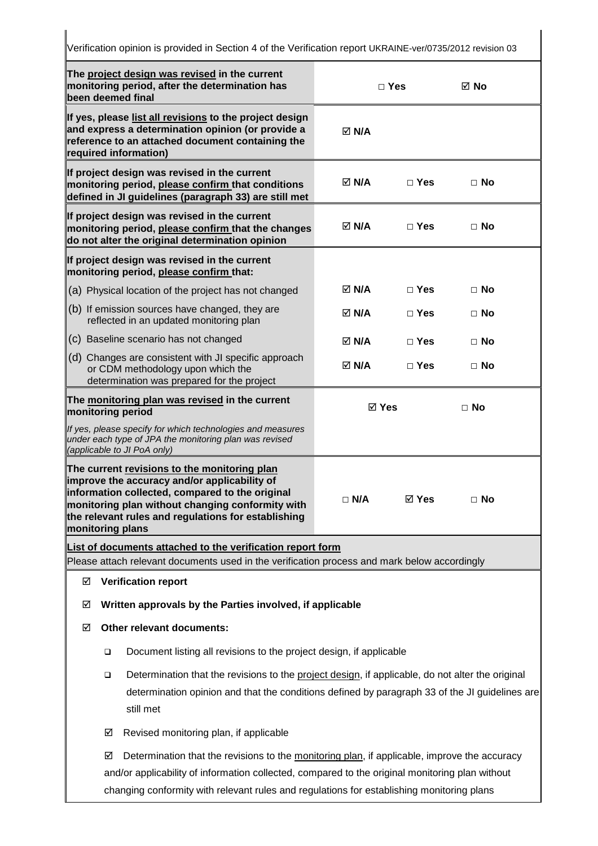**The project design was revised in the current monitoring period, after the determination has been deemed final □ Yes No If yes, please list all revisions to the project design and express a determination opinion (or provide a reference to an attached document containing the required information) N/A If project design was revised in the current monitoring period, please confirm that conditions defined in JI guidelines (paragraph 33) are still met N/A □ Yes □ No If project design was revised in the current monitoring period, please confirm that the changes do not alter the original determination opinion N/A □ Yes □ No If project design was revised in the current monitoring period, please confirm that:**  (a) Physical location of the project has not changed (b) If emission sources have changed, they are reflected in an updated monitoring plan (c) Baseline scenario has not changed (d) Changes are consistent with JI specific approach or CDM methodology upon which the determination was prepared for the project  **N/A □ Yes □ No N/A □ Yes □ No N/A □ Yes □ No N/A □ Yes □ No The monitoring plan was revised in the current monitoring period** If yes, please specify for which technologies and measures under each type of JPA the monitoring plan was revised (applicable to JI PoA only)  **Yes □ No The current revisions to the monitoring plan improve the accuracy and/or applicability of information collected, compared to the original monitoring plan without changing conformity with the relevant rules and regulations for establishing monitoring plans □ N/A Yes □ No List of documents attached to the verification report form** Please attach relevant documents used in the verification process and mark below accordingly **Verification report Written approvals by the Parties involved, if applicable Other relevant documents:**   $\Box$  Document listing all revisions to the project design, if applicable  $\Box$  Determination that the revisions to the project design, if applicable, do not alter the original determination opinion and that the conditions defined by paragraph 33 of the JI guidelines are still met  $\boxtimes$  Revised monitoring plan, if applicable  $\boxtimes$  Determination that the revisions to the monitoring plan, if applicable, improve the accuracy and/or applicability of information collected, compared to the original monitoring plan without

Verification opinion is provided in Section 4 of the Verification report UKRAINE-ver/0735/2012 revision 03

changing conformity with relevant rules and regulations for establishing monitoring plans